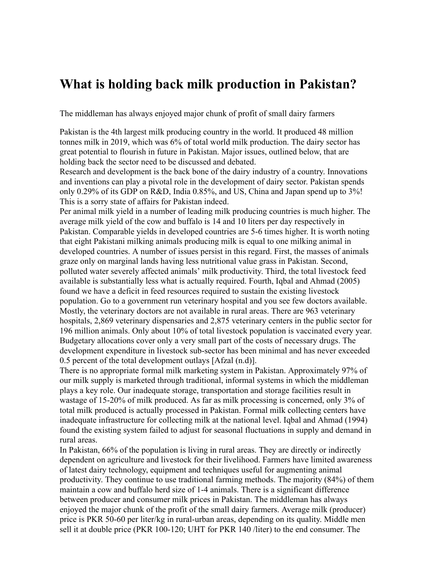## **What is holding back milk production in Pakistan?**

The middleman has always enjoyed major chunk of profit of small dairy farmers

Pakistan is the 4th largest milk producing country in the world. It produced 48 million tonnes milk in 2019, which was 6% of total world milk production. The dairy sector has great potential to flourish in future in Pakistan. Major issues, outlined below, that are holding back the sector need to be discussed and debated.

Research and development is the back bone of the dairy industry of a country. Innovations and inventions can play a pivotal role in the development of dairy sector. Pakistan spends only 0.29% of its GDP on R&D, India 0.85%, and US, China and Japan spend up to 3%! This is a sorry state of affairs for Pakistan indeed.

Per animal milk yield in a number of leading milk producing countries is much higher. The average milk yield of the cow and buffalo is 14 and 10 liters per day respectively in Pakistan. Comparable yields in developed countries are 5-6 times higher. It is worth noting that eight Pakistani milking animals producing milk is equal to one milking animal in developed countries. A number of issues persist in this regard. First, the masses of animals graze only on marginal lands having less nutritional value grass in Pakistan. Second, polluted water severely affected animals' milk productivity. Third, the total livestock feed available is substantially less what is actually required. Fourth, Iqbal and Ahmad (2005) found we have a deficit in feed resources required to sustain the existing livestock population. Go to a government run veterinary hospital and you see few doctors available. Mostly, the veterinary doctors are not available in rural areas. There are 963 veterinary hospitals, 2,869 veterinary dispensaries and 2,875 veterinary centers in the public sector for 196 million animals. Only about 10% of total livestock population is vaccinated every year. Budgetary allocations cover only a very small part of the costs of necessary drugs. The development expenditure in livestock sub-sector has been minimal and has never exceeded 0.5 percent of the total development outlays [Afzal (n.d)].

There is no appropriate formal milk marketing system in Pakistan. Approximately 97% of our milk supply is marketed through traditional, informal systems in which the middleman plays a key role. Our inadequate storage, transportation and storage facilities result in wastage of 15-20% of milk produced. As far as milk processing is concerned, only 3% of total milk produced is actually processed in Pakistan. Formal milk collecting centers have inadequate infrastructure for collecting milk at the national level. Iqbal and Ahmad (1994) found the existing system failed to adjust for seasonal fluctuations in supply and demand in rural areas.

In Pakistan, 66% of the population is living in rural areas. They are directly or indirectly dependent on agriculture and livestock for their livelihood. Farmers have limited awareness of latest dairy technology, equipment and techniques useful for augmenting animal productivity. They continue to use traditional farming methods. The majority (84%) of them maintain a cow and buffalo herd size of 1-4 animals. There is a significant difference between producer and consumer milk prices in Pakistan. The middleman has always enjoyed the major chunk of the profit of the small dairy farmers. Average milk (producer) price is PKR 50-60 per liter/kg in rural-urban areas, depending on its quality. Middle men sell it at double price (PKR 100-120; UHT for PKR 140 /liter) to the end consumer. The